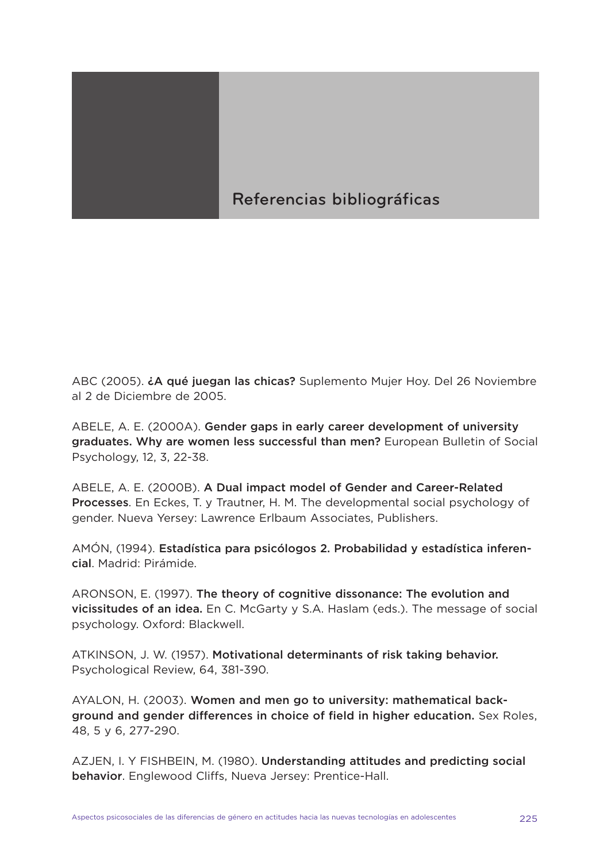## Referencias bibliográficas

ABC (2005). **¿A qué juegan las chicas?** Suplemento Mujer Hoy. Del 26 Noviembre al 2 de Diciembre de 2005.

ABELE, A. E. (2000A). **Gender gaps in early career development of university graduates. Why are women less successful than men?** European Bulletin of Social Psychology, 12, 3, 22-38.

ABELE, A. E. (2000B). **A Dual impact model of Gender and Career-Related Processes**. En Eckes, T. y Trautner, H. M. The developmental social psychology of gender. Nueva Yersey: Lawrence Erlbaum Associates, Publishers.

AMÓN, (1994). **Estadística para psicólogos 2. Probabilidad y estadística inferencial**. Madrid: Pirámide.

ARONSON, E. (1997). **The theory of cognitive dissonance: The evolution and vicissitudes of an idea.** En C. McGarty y S.A. Haslam (eds.). The message of social psychology. Oxford: Blackwell.

ATKINSON, J. W. (1957). **Motivational determinants of risk taking behavior.** Psychological Review, 64, 381-390.

AYALON, H. (2003). **Women and men go to university: mathematical background and gender differences in choice of field in higher education.** Sex Roles, 48, 5 y 6, 277-290.

AZJEN, I. Y FISHBEIN, M. (1980). **Understanding attitudes and predicting social behavior**. Englewood Cliffs, Nueva Jersey: Prentice-Hall.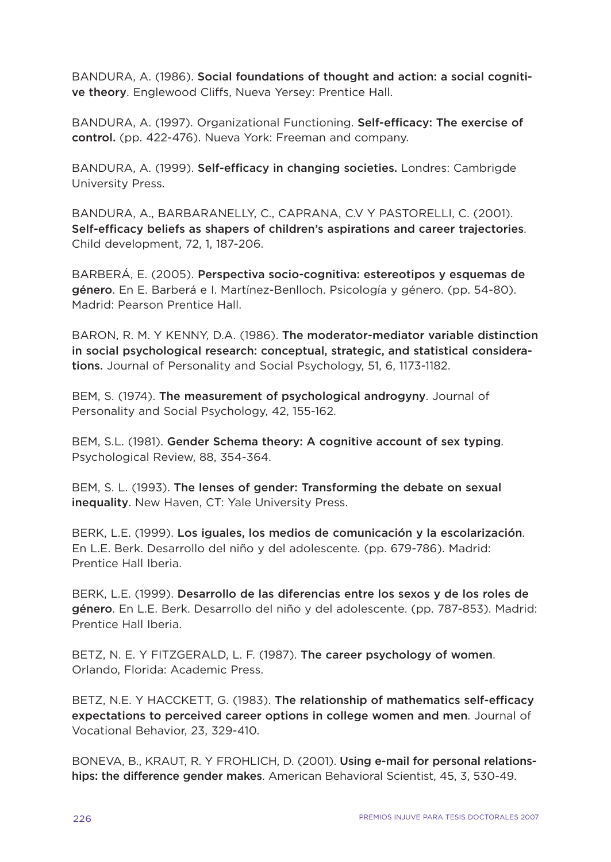BANDURA, A. (1986). **Social foundations of thought and action: a social cognitive theory**. Englewood Cliffs, Nueva Yersey: Prentice Hall.

BANDURA, A. (1997). Organizational Functioning. **Self-efficacy: The exercise of control.** (pp. 422-476). Nueva York: Freeman and company.

BANDURA, A. (1999). **Self-efficacy in changing societies.** Londres: Cambrigde University Press.

BANDURA, A., BARBARANELLY, C., CAPRANA, C.V Y PASTORELLI, C. (2001). **Self-efficacy beliefs as shapers of children's aspirations and career trajectories**. Child development, 72, 1, 187-206.

BARBERÁ, E. (2005). **Perspectiva socio-cognitiva: estereotipos y esquemas de género**. En E. Barberá e I. Martínez-Benlloch. Psicología y género. (pp. 54-80). Madrid: Pearson Prentice Hall.

BARON, R. M. Y KENNY, D.A. (1986). **The moderator-mediator variable distinction in social psychological research: conceptual, strategic, and statistical considerations.** Journal of Personality and Social Psychology, 51, 6, 1173-1182.

BEM, S. (1974). **The measurement of psychological androgyny**. Journal of Personality and Social Psychology, 42, 155-162.

BEM, S.L. (1981). **Gender Schema theory: A cognitive account of sex typing**. Psychological Review, 88, 354-364.

BEM, S. L. (1993). **The lenses of gender: Transforming the debate on sexual inequality**. New Haven, CT: Yale University Press.

BERK, L.E. (1999). **Los iguales, los medios de comunicación y la escolarización**. En L.E. Berk. Desarrollo del niño y del adolescente. (pp. 679-786). Madrid: Prentice Hall Iberia.

BERK, L.E. (1999). **Desarrollo de las diferencias entre los sexos y de los roles de género**. En L.E. Berk. Desarrollo del niño y del adolescente. (pp. 787-853). Madrid: Prentice Hall Iberia.

BETZ, N. E. Y FITZGERALD, L. F. (1987). **The career psychology of women**. Orlando, Florida: Academic Press.

BETZ, N.E. Y HACCKETT, G. (1983). **The relationship of mathematics self-efficacy expectations to perceived career options in college women and men**. Journal of Vocational Behavior, 23, 329-410.

BONEVA, B., KRAUT, R. Y FROHLICH, D. (2001). **Using e-mail for personal relationships: the difference gender makes**. American Behavioral Scientist, 45, 3, 530-49.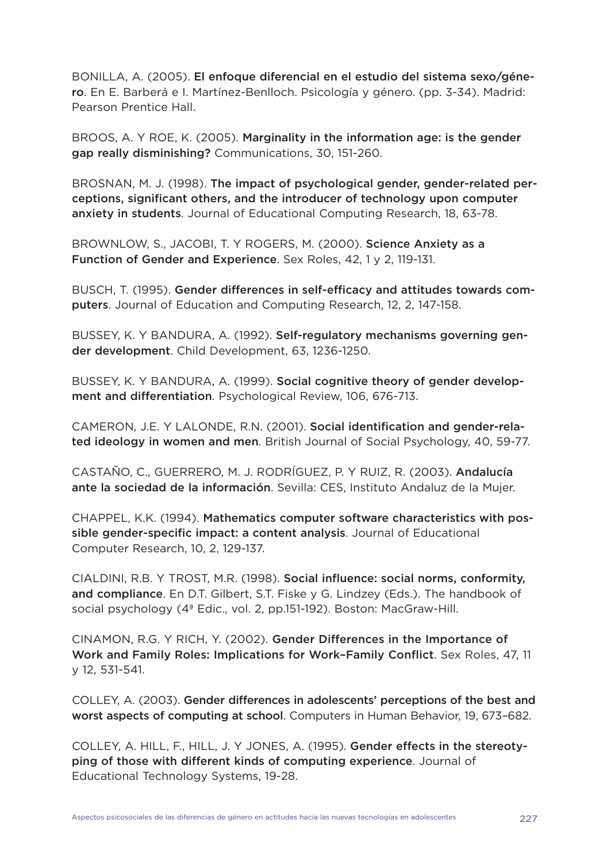BONILLA, A. (2005). **El enfoque diferencial en el estudio del sistema sexo/género**. En E. Barberá e I. Martínez-Benlloch. Psicología y género. (pp. 3-34). Madrid: Pearson Prentice Hall.

BROOS, A. Y ROE, K. (2005). **Marginality in the information age: is the gender gap really disminishing?** Communications, 30, 151-260.

BROSNAN, M. J. (1998). **The impact of psychological gender, gender-related perceptions, significant others, and the introducer of technology upon computer anxiety in students**. Journal of Educational Computing Research, 18, 63-78.

BROWNLOW, S., JACOBI, T. Y ROGERS, M. (2000). **Science Anxiety as a Function of Gender and Experience**. Sex Roles, 42, 1 y 2, 119-131.

BUSCH, T. (1995). **Gender differences in self-efficacy and attitudes towards computers**. Journal of Education and Computing Research, 12, 2, 147-158.

BUSSEY, K. Y BANDURA, A. (1992). **Self-regulatory mechanisms governing gender development**. Child Development, 63, 1236-1250.

BUSSEY, K. Y BANDURA, A. (1999). **Social cognitive theory of gender development and differentiation**. Psychological Review, 106, 676-713.

CAMERON, J.E. Y LALONDE, R.N. (2001). **Social identification and gender-related ideology in women and men**. British Journal of Social Psychology, 40, 59-77.

CASTAÑO, C., GUERRERO, M. J. RODRÍGUEZ, P. Y RUIZ, R. (2003). **Andalucía ante la sociedad de la información**. Sevilla: CES, Instituto Andaluz de la Mujer.

CHAPPEL, K.K. (1994). **Mathematics computer software characteristics with possible gender-specific impact: a content analysis**. Journal of Educational Computer Research, 10, 2, 129-137.

CIALDINI, R.B. Y TROST, M.R. (1998). **Social influence: social norms, conformity, and compliance**. En D.T. Gilbert, S.T. Fiske y G. Lindzey (Eds.). The handbook of social psychology (4ª Edic., vol. 2, pp.151-192). Boston: MacGraw-Hill.

CINAMON, R.G. Y RICH, Y. (2002). **Gender Differences in the Importance of Work and Family Roles: Implications for Work–Family Conflict**. Sex Roles, 47, 11 y 12, 531-541.

COLLEY, A. (2003). **Gender differences in adolescents' perceptions of the best and worst aspects of computing at school**. Computers in Human Behavior, 19, 673–682.

COLLEY, A. HILL, F., HILL, J. Y JONES, A. (1995). **Gender effects in the stereotyping of those with different kinds of computing experience**. Journal of Educational Technology Systems, 19-28.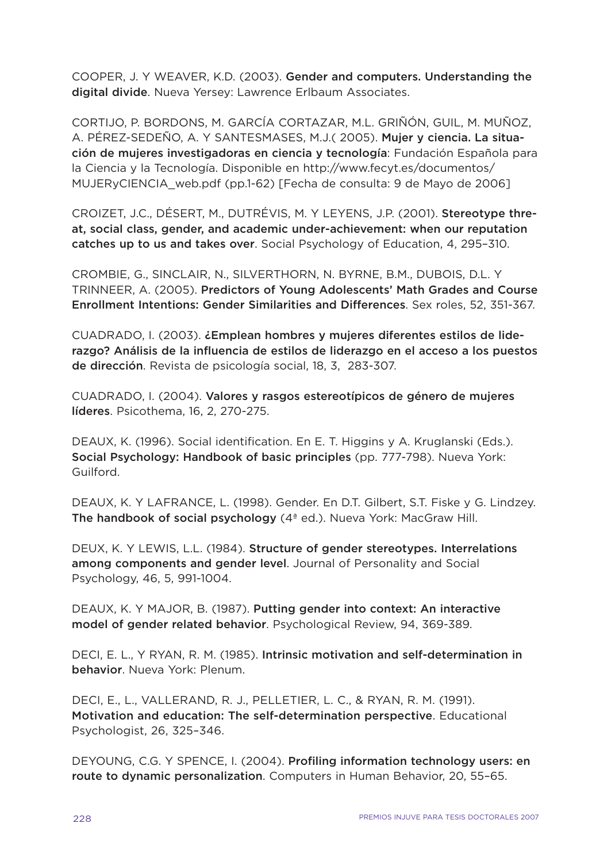COOPER, J. Y WEAVER, K.D. (2003). **Gender and computers. Understanding the digital divide**. Nueva Yersey: Lawrence Erlbaum Associates.

CORTIJO, P. BORDONS, M. GARCÍA CORTAZAR, M.L. GRIÑÓN, GUIL, M. MUÑOZ, A. PÉREZ-SEDEÑO, A. Y SANTESMASES, M.J.( 2005). **Mujer y ciencia. La situación de mujeres investigadoras en ciencia y tecnología**: Fundación Española para la Ciencia y la Tecnología. Disponible en http://www.fecyt.es/documentos/ MUJERyCIENCIA\_web.pdf (pp.1-62) [Fecha de consulta: 9 de Mayo de 2006]

CROIZET, J.C., DÉSERT, M., DUTRÉVIS, M. Y LEYENS, J.P. (2001). **Stereotype threat, social class, gender, and academic under-achievement: when our reputation catches up to us and takes over**. Social Psychology of Education, 4, 295–310.

CROMBIE, G., SINCLAIR, N., SILVERTHORN, N. BYRNE, B.M., DUBOIS, D.L. Y TRINNEER, A. (2005). **Predictors of Young Adolescents' Math Grades and Course Enrollment Intentions: Gender Similarities and Differences**. Sex roles, 52, 351-367.

CUADRADO, I. (2003). **¿Emplean hombres y mujeres diferentes estilos de liderazgo? Análisis de la influencia de estilos de liderazgo en el acceso a los puestos de dirección**. Revista de psicología social, 18, 3, 283-307.

CUADRADO, I. (2004). **Valores y rasgos estereotípicos de género de mujeres líderes**. Psicothema, 16, 2, 270-275.

DEAUX, K. (1996). Social identification. En E. T. Higgins y A. Kruglanski (Eds.). **Social Psychology: Handbook of basic principles** (pp. 777-798). Nueva York: Guilford.

DEAUX, K. Y LAFRANCE, L. (1998). Gender. En D.T. Gilbert, S.T. Fiske y G. Lindzey. **The handbook of social psychology** (4ª ed.). Nueva York: MacGraw Hill.

DEUX, K. Y LEWIS, L.L. (1984). **Structure of gender stereotypes. Interrelations among components and gender level**. Journal of Personality and Social Psychology, 46, 5, 991-1004.

DEAUX, K. Y MAJOR, B. (1987). **Putting gender into context: An interactive model of gender related behavior**. Psychological Review, 94, 369-389.

DECI, E. L., Y RYAN, R. M. (1985). **Intrinsic motivation and self-determination in behavior**. Nueva York: Plenum.

DECI, E., L., VALLERAND, R. J., PELLETIER, L. C., & RYAN, R. M. (1991). **Motivation and education: The self-determination perspective**. Educational Psychologist, 26, 325–346.

DEYOUNG, C.G. Y SPENCE, I. (2004). **Profiling information technology users: en route to dynamic personalization**. Computers in Human Behavior, 20, 55–65.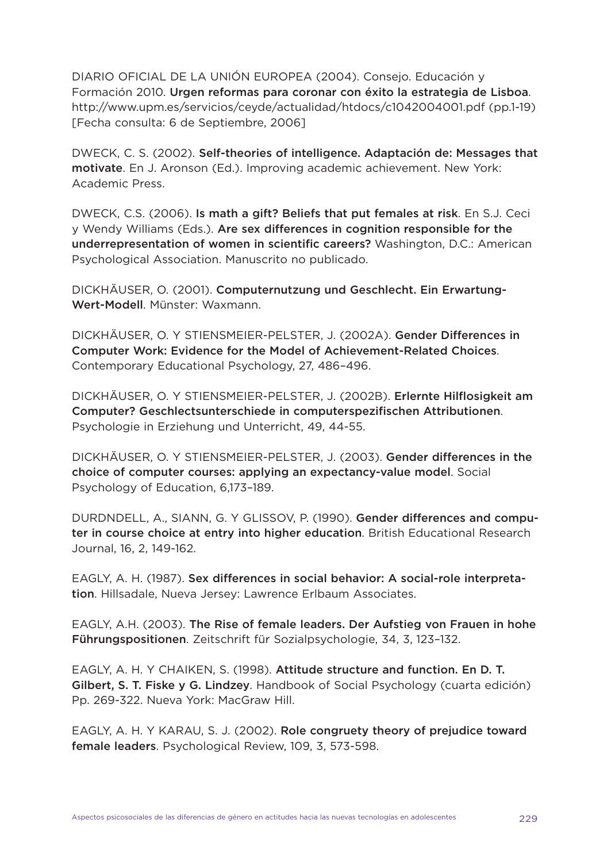DIARIO OFICIAL DE LA UNIÓN EUROPEA (2004). Consejo. Educación y Formación 2010. **Urgen reformas para coronar con éxito la estrategia de Lisboa**. http://www.upm.es/servicios/ceyde/actualidad/htdocs/c1042004001.pdf (pp.1-19) [Fecha consulta: 6 de Septiembre, 2006]

DWECK, C. S. (2002). **Self-theories of intelligence. Adaptación de: Messages that motivate**. En J. Aronson (Ed.). Improving academic achievement. New York: Academic Press.

DWECK, C.S. (2006). **Is math a gift? Beliefs that put females at risk**. En S.J. Ceci y Wendy Williams (Eds.). **Are sex differences in cognition responsible for the underrepresentation of women in scientific careers?** Washington, D.C.: American Psychological Association. Manuscrito no publicado.

DICKHÄUSER, O. (2001). **Computernutzung und Geschlecht. Ein Erwartung-Wert-Modell**. Münster: Waxmann.

DICKHÄUSER, O. Y STIENSMEIER-PELSTER, J. (2002A). **Gender Differences in Computer Work: Evidence for the Model of Achievement-Related Choices**. Contemporary Educational Psychology, 27, 486–496.

DICKHÄUSER, O. Y STIENSMEIER-PELSTER, J. (2002B). **Erlernte Hilflosigkeit am Computer? Geschlectsunterschiede in computerspezifischen Attributionen**. Psychologie in Erziehung und Unterricht, 49, 44-55.

DICKHÄUSER, O. Y STIENSMEIER-PELSTER, J. (2003). **Gender differences in the choice of computer courses: applying an expectancy-value model**. Social Psychology of Education, 6,173–189.

DURDNDELL, A., SIANN, G. Y GLISSOV, P. (1990). **Gender differences and computer in course choice at entry into higher education**. British Educational Research Journal, 16, 2, 149-162.

EAGLY, A. H. (1987). **Sex differences in social behavior: A social-role interpretation**. Hillsadale, Nueva Jersey: Lawrence Erlbaum Associates.

EAGLY, A.H. (2003). **The Rise of female leaders. Der Aufstieg von Frauen in hohe Führungspositionen**. Zeitschrift für Sozialpsychologie, 34, 3, 123–132.

EAGLY, A. H. Y CHAIKEN, S. (1998). **Attitude structure and function. En D. T. Gilbert, S. T. Fiske y G. Lindzey**. Handbook of Social Psychology (cuarta edición) Pp. 269-322. Nueva York: MacGraw Hill.

EAGLY, A. H. Y KARAU, S. J. (2002). **Role congruety theory of prejudice toward female leaders**. Psychological Review, 109, 3, 573-598.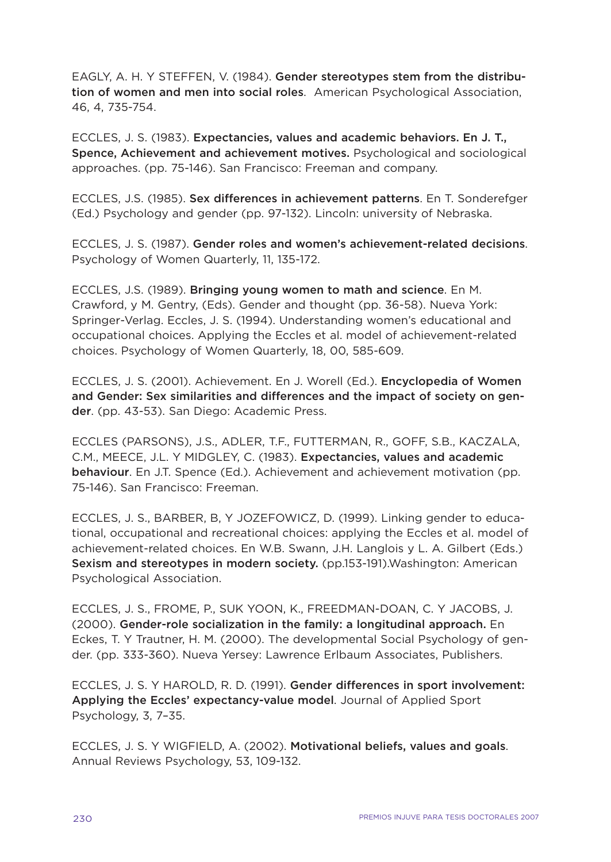EAGLY, A. H. Y STEFFEN, V. (1984). **Gender stereotypes stem from the distribution of women and men into social roles**. American Psychological Association, 46, 4, 735-754.

ECCLES, J. S. (1983). **Expectancies, values and academic behaviors. En J. T., Spence, Achievement and achievement motives.** Psychological and sociological approaches. (pp. 75-146). San Francisco: Freeman and company.

ECCLES, J.S. (1985). **Sex differences in achievement patterns**. En T. Sonderefger (Ed.) Psychology and gender (pp. 97-132). Lincoln: university of Nebraska.

ECCLES, J. S. (1987). **Gender roles and women's achievement-related decisions**. Psychology of Women Quarterly, 11, 135-172.

ECCLES, J.S. (1989). **Bringing young women to math and science**. En M. Crawford, y M. Gentry, (Eds). Gender and thought (pp. 36-58). Nueva York: Springer-Verlag. Eccles, J. S. (1994). Understanding women's educational and occupational choices. Applying the Eccles et al. model of achievement-related choices. Psychology of Women Quarterly, 18, 00, 585-609.

ECCLES, J. S. (2001). Achievement. En J. Worell (Ed.). **Encyclopedia of Women and Gender: Sex similarities and differences and the impact of society on gender**. (pp. 43-53). San Diego: Academic Press.

ECCLES (PARSONS), J.S., ADLER, T.F., FUTTERMAN, R., GOFF, S.B., KACZALA, C.M., MEECE, J.L. Y MIDGLEY, C. (1983). **Expectancies, values and academic behaviour**. En J.T. Spence (Ed.). Achievement and achievement motivation (pp. 75-146). San Francisco: Freeman.

ECCLES, J. S., BARBER, B, Y JOZEFOWICZ, D. (1999). Linking gender to educational, occupational and recreational choices: applying the Eccles et al. model of achievement-related choices. En W.B. Swann, J.H. Langlois y L. A. Gilbert (Eds.) **Sexism and stereotypes in modern society.** (pp.153-191).Washington: American Psychological Association.

ECCLES, J. S., FROME, P., SUK YOON, K., FREEDMAN-DOAN, C. Y JACOBS, J. (2000). **Gender-role socialization in the family: a longitudinal approach.** En Eckes, T. Y Trautner, H. M. (2000). The developmental Social Psychology of gender. (pp. 333-360). Nueva Yersey: Lawrence Erlbaum Associates, Publishers.

ECCLES, J. S. Y HAROLD, R. D. (1991). **Gender differences in sport involvement: Applying the Eccles' expectancy-value model**. Journal of Applied Sport Psychology, 3, 7–35.

ECCLES, J. S. Y WIGFIELD, A. (2002). **Motivational beliefs, values and goals**. Annual Reviews Psychology, 53, 109-132.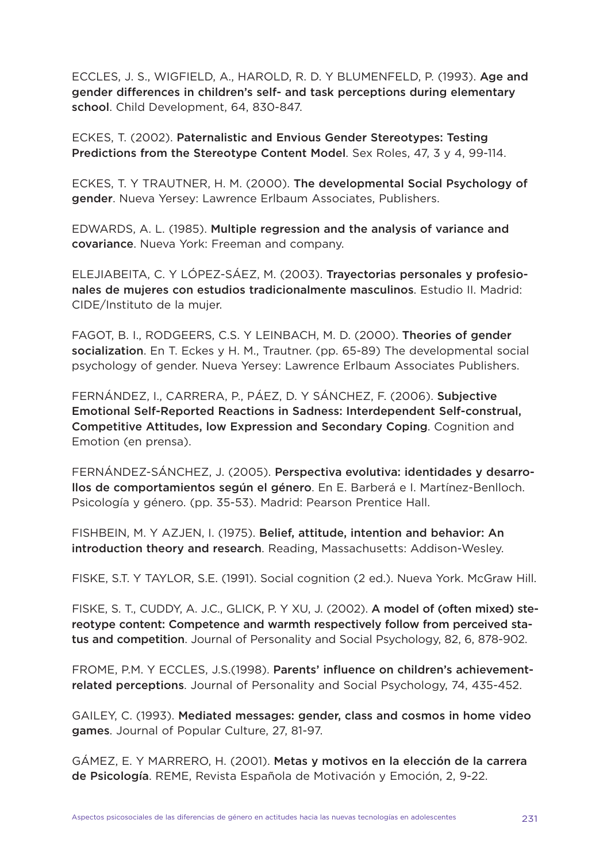ECCLES, J. S., WIGFIELD, A., HAROLD, R. D. Y BLUMENFELD, P. (1993). **Age and gender differences in children's self- and task perceptions during elementary school**. Child Development, 64, 830-847.

ECKES, T. (2002). **Paternalistic and Envious Gender Stereotypes: Testing Predictions from the Stereotype Content Model**. Sex Roles, 47, 3 y 4, 99-114.

ECKES, T. Y TRAUTNER, H. M. (2000). **The developmental Social Psychology of gender**. Nueva Yersey: Lawrence Erlbaum Associates, Publishers.

EDWARDS, A. L. (1985). **Multiple regression and the analysis of variance and covariance**. Nueva York: Freeman and company.

ELEJIABEITA, C. Y LÓPEZ-SÁEZ, M. (2003). **Trayectorias personales y profesionales de mujeres con estudios tradicionalmente masculinos**. Estudio II. Madrid: CIDE/Instituto de la mujer.

FAGOT, B. I., RODGEERS, C.S. Y LEINBACH, M. D. (2000). **Theories of gender socialization**. En T. Eckes y H. M., Trautner. (pp. 65-89) The developmental social psychology of gender. Nueva Yersey: Lawrence Erlbaum Associates Publishers.

FERNÁNDEZ, I., CARRERA, P., PÁEZ, D. Y SÁNCHEZ, F. (2006). **Subjective Emotional Self-Reported Reactions in Sadness: Interdependent Self-construal, Competitive Attitudes, low Expression and Secondary Coping**. Cognition and Emotion (en prensa).

FERNÁNDEZ-SÁNCHEZ, J. (2005). **Perspectiva evolutiva: identidades y desarrollos de comportamientos según el género**. En E. Barberá e I. Martínez-Benlloch. Psicología y género. (pp. 35-53). Madrid: Pearson Prentice Hall.

FISHBEIN, M. Y AZJEN, I. (1975). **Belief, attitude, intention and behavior: An introduction theory and research**. Reading, Massachusetts: Addison-Wesley.

FISKE, S.T. Y TAYLOR, S.E. (1991). Social cognition (2 ed.). Nueva York. McGraw Hill.

FISKE, S. T., CUDDY, A. J.C., GLICK, P. Y XU, J. (2002). **A model of (often mixed) stereotype content: Competence and warmth respectively follow from perceived status and competition**. Journal of Personality and Social Psychology, 82, 6, 878-902.

FROME, P.M. Y ECCLES, J.S.(1998). **Parents' influence on children's achievementrelated perceptions**. Journal of Personality and Social Psychology, 74, 435-452.

GAILEY, C. (1993). **Mediated messages: gender, class and cosmos in home video games**. Journal of Popular Culture, 27, 81-97.

GÁMEZ, E. Y MARRERO, H. (2001). **Metas y motivos en la elección de la carrera de Psicología**. REME, Revista Española de Motivación y Emoción, 2, 9-22.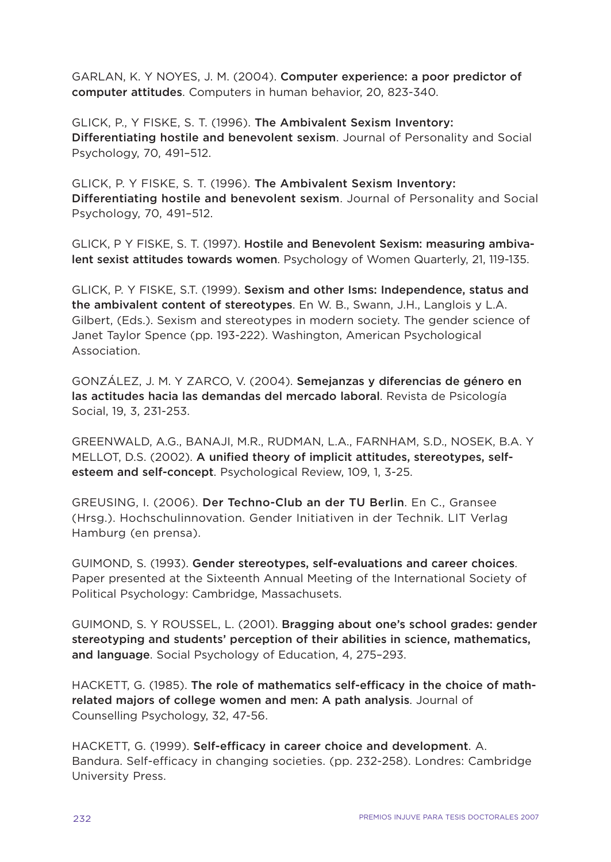GARLAN, K. Y NOYES, J. M. (2004). **Computer experience: a poor predictor of computer attitudes**. Computers in human behavior, 20, 823-340.

GLICK, P., Y FISKE, S. T. (1996). **The Ambivalent Sexism Inventory: Differentiating hostile and benevolent sexism**. Journal of Personality and Social Psychology, 70, 491–512.

GLICK, P. Y FISKE, S. T. (1996). **The Ambivalent Sexism Inventory: Differentiating hostile and benevolent sexism**. Journal of Personality and Social Psychology, 70, 491–512.

GLICK, P Y FISKE, S. T. (1997). **Hostile and Benevolent Sexism: measuring ambivalent sexist attitudes towards women**. Psychology of Women Quarterly, 21, 119-135.

GLICK, P. Y FISKE, S.T. (1999). **Sexism and other Isms: Independence, status and the ambivalent content of stereotypes**. En W. B., Swann, J.H., Langlois y L.A. Gilbert, (Eds.). Sexism and stereotypes in modern society. The gender science of Janet Taylor Spence (pp. 193-222). Washington, American Psychological Association.

GONZÁLEZ, J. M. Y ZARCO, V. (2004). **Semejanzas y diferencias de género en las actitudes hacia las demandas del mercado laboral**. Revista de Psicología Social, 19, 3, 231-253.

GREENWALD, A.G., BANAJI, M.R., RUDMAN, L.A., FARNHAM, S.D., NOSEK, B.A. Y MELLOT, D.S. (2002). **A unified theory of implicit attitudes, stereotypes, selfesteem and self-concept**. Psychological Review, 109, 1, 3-25.

GREUSING, I. (2006). **Der Techno-Club an der TU Berlin**. En C., Gransee (Hrsg.). Hochschulinnovation. Gender Initiativen in der Technik. LIT Verlag Hamburg (en prensa).

GUIMOND, S. (1993). **Gender stereotypes, self-evaluations and career choices**. Paper presented at the Sixteenth Annual Meeting of the International Society of Political Psychology: Cambridge, Massachusets.

GUIMOND, S. Y ROUSSEL, L. (2001). **Bragging about one's school grades: gender stereotyping and students' perception of their abilities in science, mathematics, and language**. Social Psychology of Education, 4, 275–293.

HACKETT, G. (1985). **The role of mathematics self-efficacy in the choice of mathrelated majors of college women and men: A path analysis**. Journal of Counselling Psychology, 32, 47-56.

HACKETT, G. (1999). **Self-efficacy in career choice and development**. A. Bandura. Self-efficacy in changing societies. (pp. 232-258). Londres: Cambridge University Press.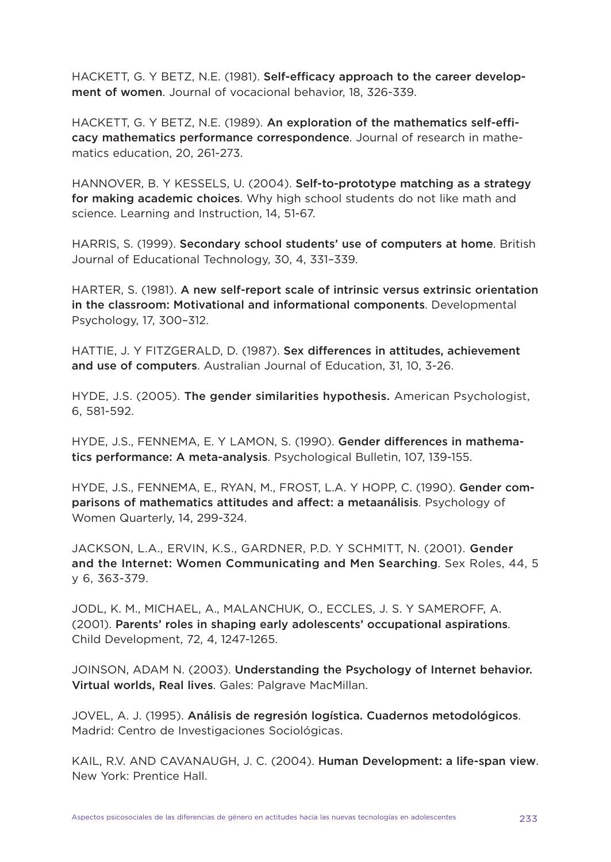HACKETT, G. Y BETZ, N.E. (1981). **Self-efficacy approach to the career development of women**. Journal of vocacional behavior, 18, 326-339.

HACKETT, G. Y BETZ, N.E. (1989). **An exploration of the mathematics self-efficacy mathematics performance correspondence**. Journal of research in mathematics education, 20, 261-273.

HANNOVER, B. Y KESSELS, U. (2004). **Self-to-prototype matching as a strategy for making academic choices**. Why high school students do not like math and science. Learning and Instruction, 14, 51-67.

HARRIS, S. (1999). **Secondary school students' use of computers at home**. British Journal of Educational Technology, 30, 4, 331–339.

HARTER, S. (1981). **A new self-report scale of intrinsic versus extrinsic orientation in the classroom: Motivational and informational components**. Developmental Psychology, 17, 300–312.

HATTIE, J. Y FITZGERALD, D. (1987). **Sex differences in attitudes, achievement and use of computers**. Australian Journal of Education, 31, 10, 3-26.

HYDE, J.S. (2005). **The gender similarities hypothesis.** American Psychologist, 6, 581-592.

HYDE, J.S., FENNEMA, E. Y LAMON, S. (1990). **Gender differences in mathematics performance: A meta-analysis**. Psychological Bulletin, 107, 139-155.

HYDE, J.S., FENNEMA, E., RYAN, M., FROST, L.A. Y HOPP, C. (1990). **Gender comparisons of mathematics attitudes and affect: a metaanálisis**. Psychology of Women Quarterly, 14, 299-324.

JACKSON, L.A., ERVIN, K.S., GARDNER, P.D. Y SCHMITT, N. (2001). **Gender and the Internet: Women Communicating and Men Searching**. Sex Roles, 44, 5 y 6, 363-379.

JODL, K. M., MICHAEL, A., MALANCHUK, O., ECCLES, J. S. Y SAMEROFF, A. (2001). **Parents' roles in shaping early adolescents' occupational aspirations**. Child Development, 72, 4, 1247-1265.

JOINSON, ADAM N. (2003). **Understanding the Psychology of Internet behavior. Virtual worlds, Real lives**. Gales: Palgrave MacMillan.

JOVEL, A. J. (1995). **Análisis de regresión logística. Cuadernos metodológicos**. Madrid: Centro de Investigaciones Sociológicas.

KAIL, R.V. AND CAVANAUGH, J. C. (2004). **Human Development: a life-span view**. New York: Prentice Hall.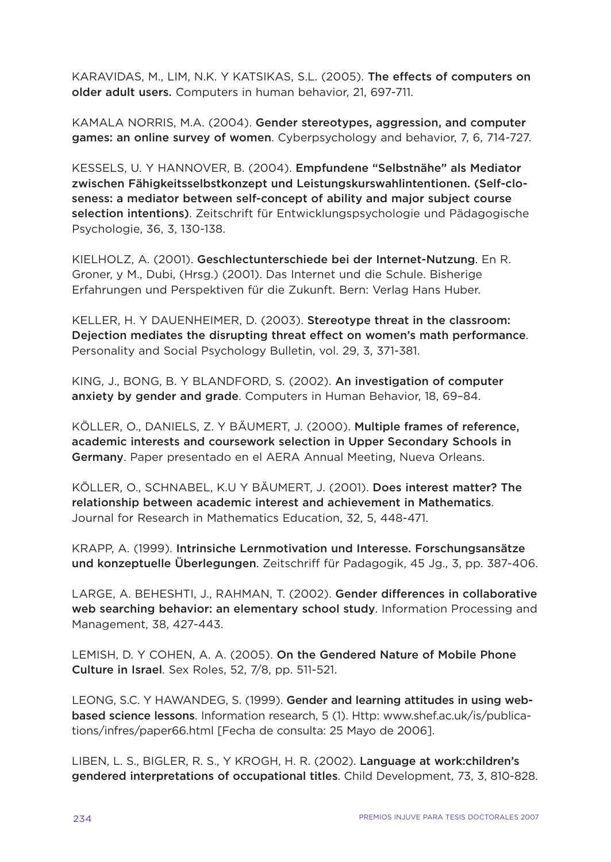KARAVIDAS, M., LIM, N.K. Y KATSIKAS, S.L. (2005). **The effects of computers on older adult users.** Computers in human behavior, 21, 697-711.

KAMALA NORRIS, M.A. (2004). **Gender stereotypes, aggression, and computer games: an online survey of women**. Cyberpsychology and behavior, 7, 6, 714-727.

KESSELS, U. Y HANNOVER, B. (2004). **Empfundene "Selbstnähe" als Mediator zwischen Fähigkeitsselbstkonzept und Leistungskurswahlintentionen. (Self-closeness: a mediator between self-concept of ability and major subject course selection intentions)**. Zeitschrift für Entwicklungspsychologie und Pädagogische Psychologie, 36, 3, 130-138.

KIELHOLZ, A. (2001). **Geschlectunterschiede bei der Internet-Nutzung**. En R. Groner, y M., Dubi, (Hrsg.) (2001). Das Internet und die Schule. Bisherige Erfahrungen und Perspektiven für die Zukunft. Bern: Verlag Hans Huber.

KELLER, H. Y DAUENHEIMER, D. (2003). **Stereotype threat in the classroom: Dejection mediates the disrupting threat effect on women's math performance**. Personality and Social Psychology Bulletin, vol. 29, 3, 371-381.

KING, J., BONG, B. Y BLANDFORD, S. (2002). **An investigation of computer anxiety by gender and grade**. Computers in Human Behavior, 18, 69–84.

KÖLLER, O., DANIELS, Z. Y BÄUMERT, J. (2000). **Multiple frames of reference, academic interests and coursework selection in Upper Secondary Schools in Germany**. Paper presentado en el AERA Annual Meeting, Nueva Orleans.

KÖLLER, O., SCHNABEL, K.U Y BÄUMERT, J. (2001). **Does interest matter? The relationship between academic interest and achievement in Mathematics**. Journal for Research in Mathematics Education, 32, 5, 448-471.

KRAPP, A. (1999). **Intrinsiche Lernmotivation und Interesse. Forschungsansätze und konzeptuelle Überlegungen**. Zeitschriff für Padagogik, 45 Jg., 3, pp. 387-406.

LARGE, A. BEHESHTI, J., RAHMAN, T. (2002). **Gender differences in collaborative web searching behavior: an elementary school study**. Information Processing and Management, 38, 427-443.

LEMISH, D. Y COHEN, A. A. (2005). **On the Gendered Nature of Mobile Phone Culture in Israel**. Sex Roles, 52, 7/8, pp. 511-521.

LEONG, S.C. Y HAWANDEG, S. (1999). **Gender and learning attitudes in using webbased science lessons**. Information research, 5 (1). Http: www.shef.ac.uk/is/publications/infres/paper66.html [Fecha de consulta: 25 Mayo de 2006].

LIBEN, L. S., BIGLER, R. S., Y KROGH, H. R. (2002). **Language at work:children's gendered interpretations of occupational titles**. Child Development, 73, 3, 810-828.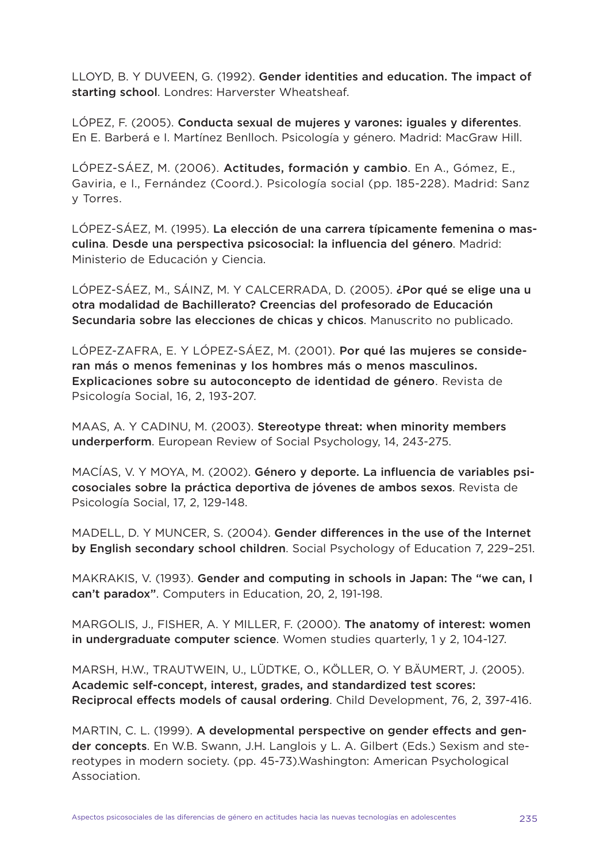LLOYD, B. Y DUVEEN, G. (1992). **Gender identities and education. The impact of starting school**. Londres: Harverster Wheatsheaf.

LÓPEZ, F. (2005). **Conducta sexual de mujeres y varones: iguales y diferentes**. En E. Barberá e I. Martínez Benlloch. Psicología y género. Madrid: MacGraw Hill.

LÓPEZ-SÁEZ, M. (2006). **Actitudes, formación y cambio**. En A., Gómez, E., Gaviria, e I., Fernández (Coord.). Psicología social (pp. 185-228). Madrid: Sanz y Torres.

LÓPEZ-SÁEZ, M. (1995). **La elección de una carrera típicamente femenina o masculina**. **Desde una perspectiva psicosocial: la influencia del género**. Madrid: Ministerio de Educación y Ciencia.

LÓPEZ-SÁEZ, M., SÁINZ, M. Y CALCERRADA, D. (2005). **¿Por qué se elige una u otra modalidad de Bachillerato? Creencias del profesorado de Educación Secundaria sobre las elecciones de chicas y chicos**. Manuscrito no publicado.

LÓPEZ-ZAFRA, E. Y LÓPEZ-SÁEZ, M. (2001). **Por qué las mujeres se consideran más o menos femeninas y los hombres más o menos masculinos. Explicaciones sobre su autoconcepto de identidad de género**. Revista de Psicología Social, 16, 2, 193-207.

MAAS, A. Y CADINU, M. (2003). **Stereotype threat: when minority members underperform**. European Review of Social Psychology, 14, 243-275.

MACÍAS, V. Y MOYA, M. (2002). **Género y deporte. La influencia de variables psicosociales sobre la práctica deportiva de jóvenes de ambos sexos**. Revista de Psicología Social, 17, 2, 129-148.

MADELL, D. Y MUNCER, S. (2004). **Gender differences in the use of the Internet by English secondary school children**. Social Psychology of Education 7, 229–251.

MAKRAKIS, V. (1993). **Gender and computing in schools in Japan: The "we can, I can't paradox"**. Computers in Education, 20, 2, 191-198.

MARGOLIS, J., FISHER, A. Y MILLER, F. (2000). **The anatomy of interest: women in undergraduate computer science**. Women studies quarterly, 1 y 2, 104-127.

MARSH, H.W., TRAUTWEIN, U., LÜDTKE, O., KÖLLER, O. Y BÄUMERT, J. (2005). **Academic self-concept, interest, grades, and standardized test scores: Reciprocal effects models of causal ordering**. Child Development, 76, 2, 397-416.

MARTIN, C. L. (1999). **A developmental perspective on gender effects and gender concepts**. En W.B. Swann, J.H. Langlois y L. A. Gilbert (Eds.) Sexism and stereotypes in modern society. (pp. 45-73).Washington: American Psychological Association.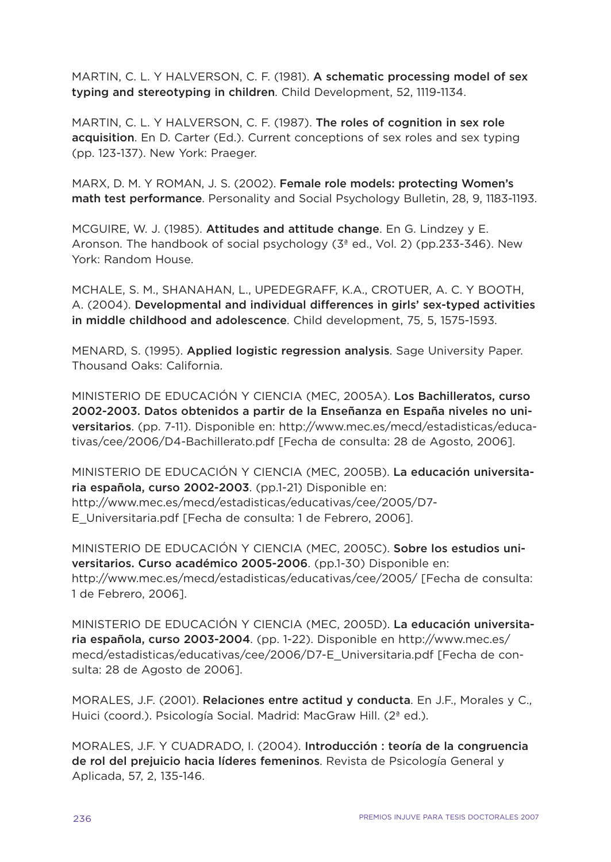MARTIN, C. L. Y HALVERSON, C. F. (1981). **A schematic processing model of sex typing and stereotyping in children**. Child Development, 52, 1119-1134.

MARTIN, C. L. Y HALVERSON, C. F. (1987). **The roles of cognition in sex role acquisition**. En D. Carter (Ed.). Current conceptions of sex roles and sex typing (pp. 123-137). New York: Praeger.

MARX, D. M. Y ROMAN, J. S. (2002). **Female role models: protecting Women's math test performance**. Personality and Social Psychology Bulletin, 28, 9, 1183-1193.

MCGUIRE, W. J. (1985). **Attitudes and attitude change**. En G. Lindzey y E. Aronson. The handbook of social psychology (3ª ed., Vol. 2) (pp.233-346). New York: Random House.

MCHALE, S. M., SHANAHAN, L., UPEDEGRAFF, K.A., CROTUER, A. C. Y BOOTH, A. (2004). **Developmental and individual differences in girls' sex-typed activities in middle childhood and adolescence**. Child development, 75, 5, 1575-1593.

MENARD, S. (1995). **Applied logistic regression analysis**. Sage University Paper. Thousand Oaks: California.

MINISTERIO DE EDUCACIÓN Y CIENCIA (MEC, 2005A). **Los Bachilleratos, curso 2002-2003. Datos obtenidos a partir de la Enseñanza en España niveles no universitarios**. (pp. 7-11). Disponible en: http://www.mec.es/mecd/estadisticas/educativas/cee/2006/D4-Bachillerato.pdf [Fecha de consulta: 28 de Agosto, 2006].

MINISTERIO DE EDUCACIÓN Y CIENCIA (MEC, 2005B). **La educación universitaria española, curso 2002-2003**. (pp.1-21) Disponible en: http://www.mec.es/mecd/estadisticas/educativas/cee/2005/D7- E\_Universitaria.pdf [Fecha de consulta: 1 de Febrero, 2006].

MINISTERIO DE EDUCACIÓN Y CIENCIA (MEC, 2005C). **Sobre los estudios universitarios. Curso académico 2005-2006**. (pp.1-30) Disponible en: http://www.mec.es/mecd/estadisticas/educativas/cee/2005/ [Fecha de consulta: 1 de Febrero, 2006].

MINISTERIO DE EDUCACIÓN Y CIENCIA (MEC, 2005D). **La educación universitaria española, curso 2003-2004**. (pp. 1-22). Disponible en http://www.mec.es/ mecd/estadisticas/educativas/cee/2006/D7-E\_Universitaria.pdf [Fecha de consulta: 28 de Agosto de 2006].

MORALES, J.F. (2001). **Relaciones entre actitud y conducta**. En J.F., Morales y C., Huici (coord.). Psicología Social. Madrid: MacGraw Hill. (2ª ed.).

MORALES, J.F. Y CUADRADO, I. (2004). **Introducción : teoría de la congruencia de rol del prejuicio hacia líderes femeninos**. Revista de Psicología General y Aplicada, 57, 2, 135-146.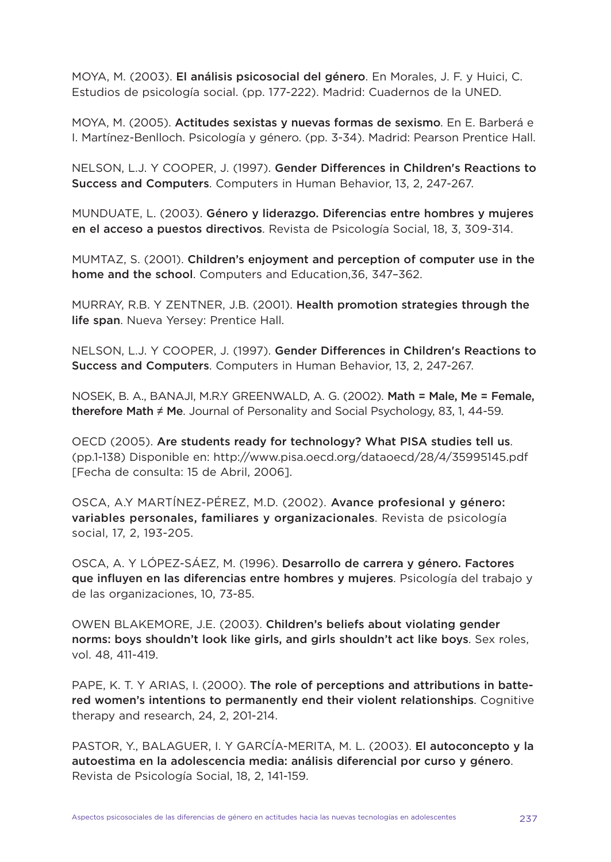MOYA, M. (2003). **El análisis psicosocial del género**. En Morales, J. F. y Huici, C. Estudios de psicología social. (pp. 177-222). Madrid: Cuadernos de la UNED.

MOYA, M. (2005). **Actitudes sexistas y nuevas formas de sexismo**. En E. Barberá e I. Martínez-Benlloch. Psicología y género. (pp. 3-34). Madrid: Pearson Prentice Hall.

NELSON, L.J. Y COOPER, J. (1997). **Gender Differences in Children's Reactions to Success and Computers**. Computers in Human Behavior, 13, 2, 247-267.

MUNDUATE, L. (2003). **Género y liderazgo. Diferencias entre hombres y mujeres en el acceso a puestos directivos**. Revista de Psicología Social, 18, 3, 309-314.

MUMTAZ, S. (2001). **Children's enjoyment and perception of computer use in the home and the school**. Computers and Education,36, 347–362.

MURRAY, R.B. Y ZENTNER, J.B. (2001). **Health promotion strategies through the life span**. Nueva Yersey: Prentice Hall.

NELSON, L.J. Y COOPER, J. (1997). **Gender Differences in Children's Reactions to Success and Computers**. Computers in Human Behavior, 13, 2, 247-267.

NOSEK, B. A., BANAJI, M.R.Y GREENWALD, A. G. (2002). **Math = Male, Me = Female, therefore Math** ≠ **Me**. Journal of Personality and Social Psychology, 83, 1, 44-59.

OECD (2005). **Are students ready for technology? What PISA studies tell us**. (pp.1-138) Disponible en: http://www.pisa.oecd.org/dataoecd/28/4/35995145.pdf [Fecha de consulta: 15 de Abril, 2006].

OSCA, A.Y MARTÍNEZ-PÉREZ, M.D. (2002). **Avance profesional y género: variables personales, familiares y organizacionales**. Revista de psicología social, 17, 2, 193-205.

OSCA, A. Y LÓPEZ-SÁEZ, M. (1996). **Desarrollo de carrera y género. Factores que influyen en las diferencias entre hombres y mujeres**. Psicología del trabajo y de las organizaciones, 10, 73-85.

OWEN BLAKEMORE, J.E. (2003). **Children's beliefs about violating gender norms: boys shouldn't look like girls, and girls shouldn't act like boys**. Sex roles, vol. 48, 411-419.

PAPE, K. T. Y ARIAS, I. (2000). **The role of perceptions and attributions in battered women's intentions to permanently end their violent relationships**. Cognitive therapy and research, 24, 2, 201-214.

PASTOR, Y., BALAGUER, I. Y GARCÍA-MERITA, M. L. (2003). **El autoconcepto y la autoestima en la adolescencia media: análisis diferencial por curso y género**. Revista de Psicología Social, 18, 2, 141-159.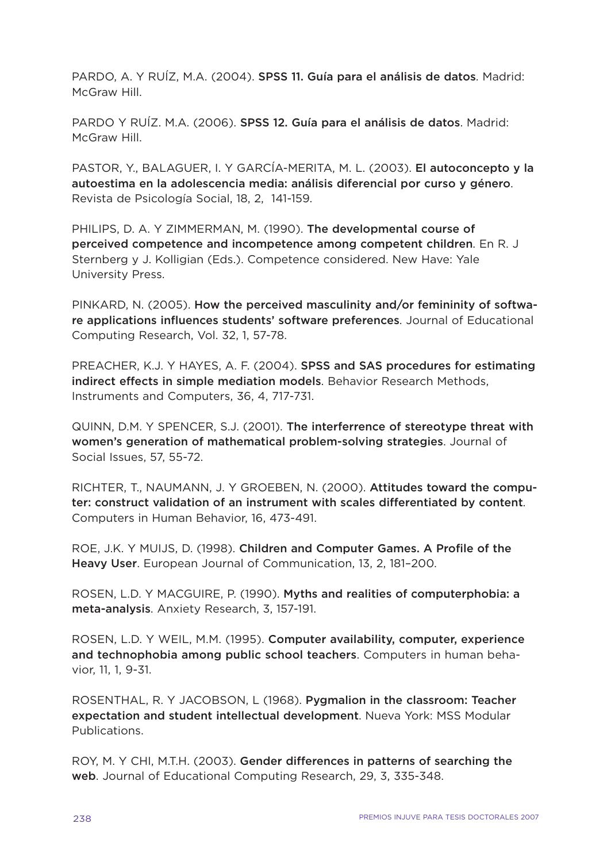PARDO, A. Y RUÍZ, M.A. (2004). **SPSS 11. Guía para el análisis de datos**. Madrid: McGraw Hill

PARDO Y RUÍZ. M.A. (2006). **SPSS 12. Guía para el análisis de datos**. Madrid: McGraw Hill.

PASTOR, Y., BALAGUER, I. Y GARCÍA-MERITA, M. L. (2003). **El autoconcepto y la autoestima en la adolescencia media: análisis diferencial por curso y género**. Revista de Psicología Social, 18, 2, 141-159.

PHILIPS, D. A. Y ZIMMERMAN, M. (1990). **The developmental course of perceived competence and incompetence among competent children**. En R. J Sternberg y J. Kolligian (Eds.). Competence considered. New Have: Yale University Press.

PINKARD, N. (2005). **How the perceived masculinity and/or femininity of software applications influences students' software preferences**. Journal of Educational Computing Research, Vol. 32, 1, 57-78.

PREACHER, K.J. Y HAYES, A. F. (2004). **SPSS and SAS procedures for estimating indirect effects in simple mediation models**. Behavior Research Methods, Instruments and Computers, 36, 4, 717-731.

QUINN, D.M. Y SPENCER, S.J. (2001). **The interferrence of stereotype threat with women's generation of mathematical problem-solving strategies**. Journal of Social Issues, 57, 55-72.

RICHTER, T., NAUMANN, J. Y GROEBEN, N. (2000). **Attitudes toward the computer: construct validation of an instrument with scales differentiated by content**. Computers in Human Behavior, 16, 473-491.

ROE, J.K. Y MUIJS, D. (1998). **Children and Computer Games. A Profile of the Heavy User**. European Journal of Communication, 13, 2, 181–200.

ROSEN, L.D. Y MACGUIRE, P. (1990). **Myths and realities of computerphobia: a meta-analysis**. Anxiety Research, 3, 157-191.

ROSEN, L.D. Y WEIL, M.M. (1995). **Computer availability, computer, experience and technophobia among public school teachers**. Computers in human behavior, 11, 1, 9-31.

ROSENTHAL, R. Y JACOBSON, L (1968). **Pygmalion in the classroom: Teacher expectation and student intellectual development**. Nueva York: MSS Modular Publications.

ROY, M. Y CHI, M.T.H. (2003). **Gender differences in patterns of searching the web**. Journal of Educational Computing Research, 29, 3, 335-348.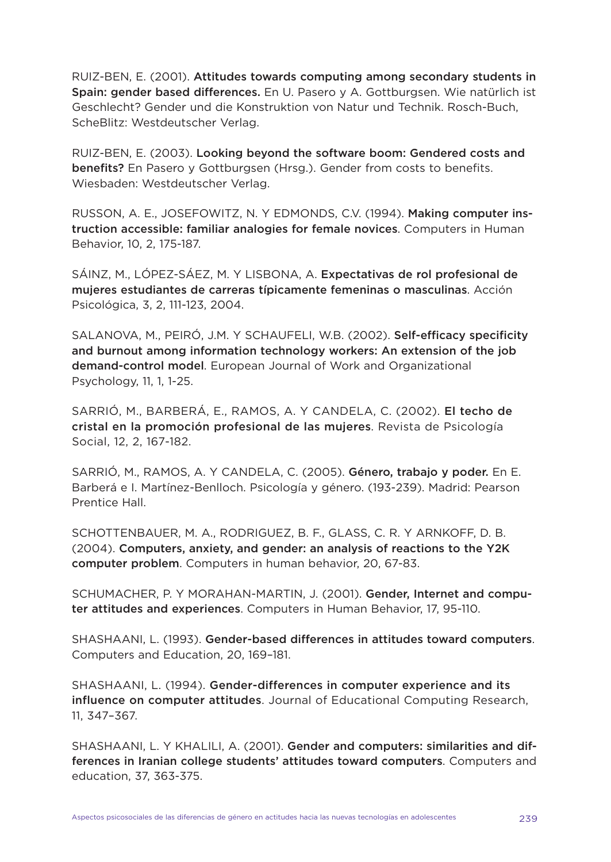RUIZ-BEN, E. (2001). **Attitudes towards computing among secondary students in Spain: gender based differences.** En U. Pasero y A. Gottburgsen. Wie natürlich ist Geschlecht? Gender und die Konstruktion von Natur und Technik. Rosch-Buch, ScheBlitz: Westdeutscher Verlag.

RUIZ-BEN, E. (2003). **Looking beyond the software boom: Gendered costs and benefits?** En Pasero y Gottburgsen (Hrsg.). Gender from costs to benefits. Wiesbaden: Westdeutscher Verlag.

RUSSON, A. E., JOSEFOWITZ, N. Y EDMONDS, C.V. (1994). **Making computer instruction accessible: familiar analogies for female novices**. Computers in Human Behavior, 10, 2, 175-187.

SÁINZ, M., LÓPEZ-SÁEZ, M. Y LISBONA, A. **Expectativas de rol profesional de mujeres estudiantes de carreras típicamente femeninas o masculinas**. Acción Psicológica, 3, 2, 111-123, 2004.

SALANOVA, M., PEIRÓ, J.M. Y SCHAUFELI, W.B. (2002). **Self-efficacy specificity and burnout among information technology workers: An extension of the job demand-control model**. European Journal of Work and Organizational Psychology, 11, 1, 1-25.

SARRIÓ, M., BARBERÁ, E., RAMOS, A. Y CANDELA, C. (2002). **El techo de cristal en la promoción profesional de las mujeres**. Revista de Psicología Social, 12, 2, 167-182.

SARRIÓ, M., RAMOS, A. Y CANDELA, C. (2005). **Género, trabajo y poder.** En E. Barberá e I. Martínez-Benlloch. Psicología y género. (193-239). Madrid: Pearson Prentice Hall.

SCHOTTENBAUER, M. A., RODRIGUEZ, B. F., GLASS, C. R. Y ARNKOFF, D. B. (2004). **Computers, anxiety, and gender: an analysis of reactions to the Y2K computer problem**. Computers in human behavior, 20, 67-83.

SCHUMACHER, P. Y MORAHAN-MARTIN, J. (2001). **Gender, Internet and computer attitudes and experiences**. Computers in Human Behavior, 17, 95-110.

SHASHAANI, L. (1993). **Gender-based differences in attitudes toward computers**. Computers and Education, 20, 169–181.

SHASHAANI, L. (1994). **Gender-differences in computer experience and its influence on computer attitudes**. Journal of Educational Computing Research, 11, 347–367.

SHASHAANI, L. Y KHALILI, A. (2001). **Gender and computers: similarities and differences in Iranian college students' attitudes toward computers**. Computers and education, 37, 363-375.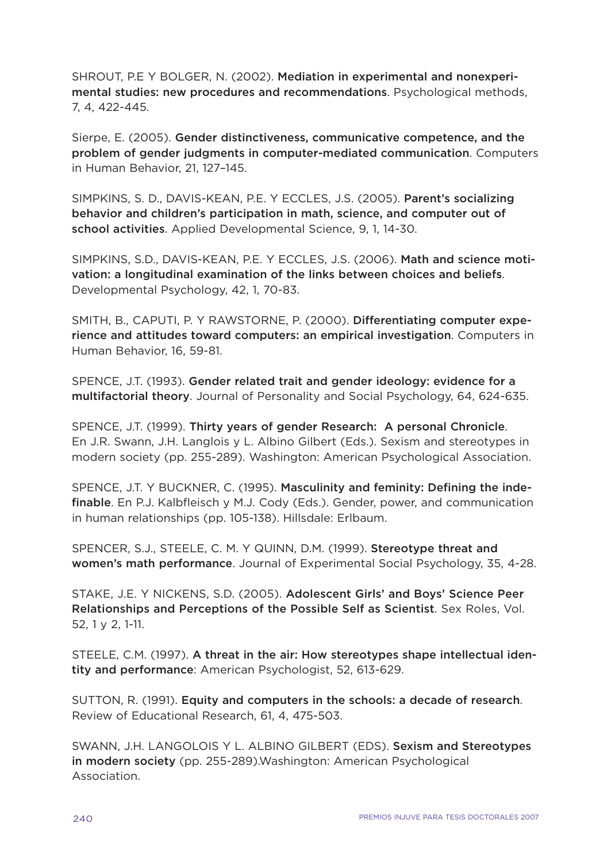SHROUT, P.E Y BOLGER, N. (2002). **Mediation in experimental and nonexperimental studies: new procedures and recommendations**. Psychological methods, 7, 4, 422-445.

Sierpe, E. (2005). **Gender distinctiveness, communicative competence, and the problem of gender judgments in computer-mediated communication**. Computers in Human Behavior, 21, 127–145.

SIMPKINS, S. D., DAVIS-KEAN, P.E. Y ECCLES, J.S. (2005). **Parent's socializing behavior and children's participation in math, science, and computer out of school activities**. Applied Developmental Science, 9, 1, 14-30.

SIMPKINS, S.D., DAVIS-KEAN, P.E. Y ECCLES, J.S. (2006). **Math and science motivation: a longitudinal examination of the links between choices and beliefs**. Developmental Psychology, 42, 1, 70-83.

SMITH, B., CAPUTI, P. Y RAWSTORNE, P. (2000). **Differentiating computer experience and attitudes toward computers: an empirical investigation**. Computers in Human Behavior, 16, 59-81.

SPENCE, J.T. (1993). **Gender related trait and gender ideology: evidence for a multifactorial theory**. Journal of Personality and Social Psychology, 64, 624-635.

SPENCE, J.T. (1999). **Thirty years of gender Research: A personal Chronicle**. En J.R. Swann, J.H. Langlois y L. Albino Gilbert (Eds.). Sexism and stereotypes in modern society (pp. 255-289). Washington: American Psychological Association.

SPENCE, J.T. Y BUCKNER, C. (1995). **Masculinity and feminity: Defining the indefinable**. En P.J. Kalbfleisch y M.J. Cody (Eds.). Gender, power, and communication in human relationships (pp. 105-138). Hillsdale: Erlbaum.

SPENCER, S.J., STEELE, C. M. Y QUINN, D.M. (1999). **Stereotype threat and women's math performance**. Journal of Experimental Social Psychology, 35, 4-28.

STAKE, J.E. Y NICKENS, S.D. (2005). **Adolescent Girls' and Boys' Science Peer Relationships and Perceptions of the Possible Self as Scientist**. Sex Roles, Vol. 52, 1 y 2, 1-11.

STEELE, C.M. (1997). **A threat in the air: How stereotypes shape intellectual identity and performance**: American Psychologist, 52, 613-629.

SUTTON, R. (1991). **Equity and computers in the schools: a decade of research**. Review of Educational Research, 61, 4, 475-503.

SWANN, J.H. LANGOLOIS Y L. ALBINO GILBERT (EDS). **Sexism and Stereotypes in modern society** (pp. 255-289).Washington: American Psychological Association.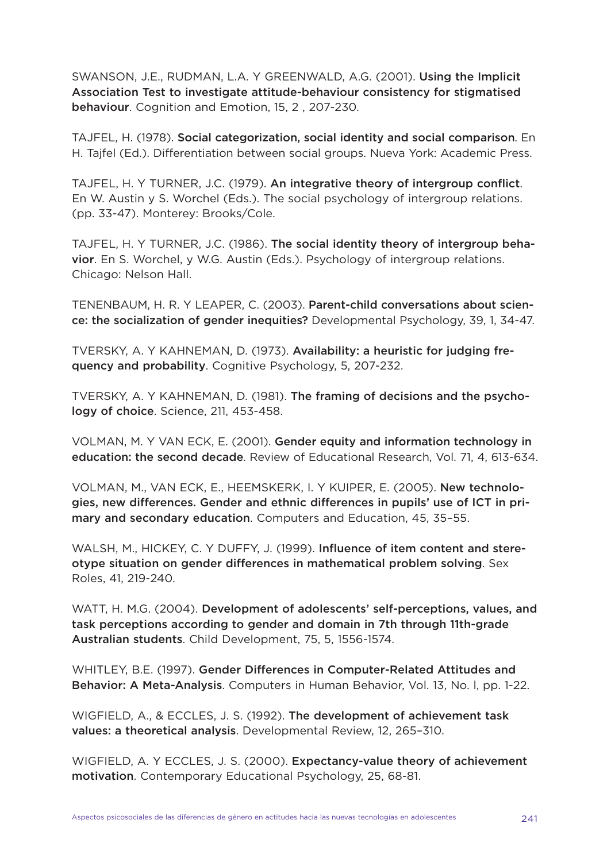SWANSON, J.E., RUDMAN, L.A. Y GREENWALD, A.G. (2001). **Using the Implicit Association Test to investigate attitude-behaviour consistency for stigmatised behaviour**. Cognition and Emotion, 15, 2 , 207-230.

TAJFEL, H. (1978). **Social categorization, social identity and social comparison**. En H. Tajfel (Ed.). Differentiation between social groups. Nueva York: Academic Press.

TAJFEL, H. Y TURNER, J.C. (1979). **An integrative theory of intergroup conflict**. En W. Austin y S. Worchel (Eds.). The social psychology of intergroup relations. (pp. 33-47). Monterey: Brooks/Cole.

TAJFEL, H. Y TURNER, J.C. (1986). **The social identity theory of intergroup behavior**. En S. Worchel, y W.G. Austin (Eds.). Psychology of intergroup relations. Chicago: Nelson Hall.

TENENBAUM, H. R. Y LEAPER, C. (2003). **Parent-child conversations about science: the socialization of gender inequities?** Developmental Psychology, 39, 1, 34-47.

TVERSKY, A. Y KAHNEMAN, D. (1973). **Availability: a heuristic for judging frequency and probability**. Cognitive Psychology, 5, 207-232.

TVERSKY, A. Y KAHNEMAN, D. (1981). **The framing of decisions and the psychology of choice**. Science, 211, 453-458.

VOLMAN, M. Y VAN ECK, E. (2001). **Gender equity and information technology in education: the second decade**. Review of Educational Research, Vol. 71, 4, 613-634.

VOLMAN, M., VAN ECK, E., HEEMSKERK, I. Y KUIPER, E. (2005). **New technologies, new differences. Gender and ethnic differences in pupils' use of ICT in primary and secondary education**. Computers and Education, 45, 35–55.

WALSH, M., HICKEY, C. Y DUFFY, J. (1999). **Influence of item content and stereotype situation on gender differences in mathematical problem solving**. Sex Roles, 41, 219-240.

WATT, H. M.G. (2004). **Development of adolescents' self-perceptions, values, and task perceptions according to gender and domain in 7th through 11th-grade Australian students**. Child Development, 75, 5, 1556-1574.

WHITLEY, B.E. (1997). **Gender Differences in Computer-Related Attitudes and Behavior: A Meta-Analysis**. Computers in Human Behavior, Vol. 13, No. l, pp. 1-22.

WIGFIELD, A., & ECCLES, J. S. (1992). **The development of achievement task values: a theoretical analysis**. Developmental Review, 12, 265–310.

WIGFIELD, A. Y ECCLES, J. S. (2000). **Expectancy-value theory of achievement motivation**. Contemporary Educational Psychology, 25, 68-81.